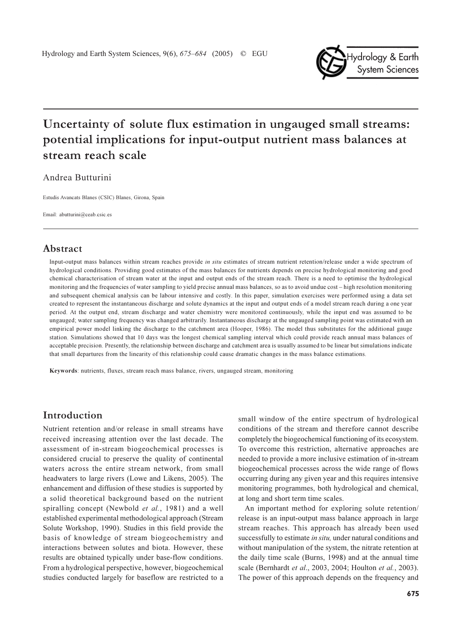

## Andrea Butturini

Estudis Avancats Blanes (CSIC) Blanes, Girona, Spain

Email: abutturini@ceab.csic.es

## **Abstract**

Input-output mass balances within stream reaches provide in situ estimates of stream nutrient retention/release under a wide spectrum of hydrological conditions. Providing good estimates of the mass balances for nutrients depends on precise hydrological monitoring and good chemical characterisation of stream water at the input and output ends of the stream reach. There is a need to optimise the hydrological monitoring and the frequencies of water sampling to yield precise annual mass balances, so as to avoid undue cost - high resolution monitoring and subsequent chemical analysis can be labour intensive and costly. In this paper, simulation exercises were performed using a data set created to represent the instantaneous discharge and solute dynamics at the input and output ends of a model stream reach during a one year period. At the output end, stream discharge and water chemistry were monitored continuously, while the input end was assumed to be ungauged; water sampling frequency was changed arbitrarily. Instantaneous discharge at the ungauged sampling point was estimated with an empirical power model linking the discharge to the catchment area (Hooper, 1986). The model thus substitutes for the additional gauge station. Simulations showed that 10 days was the longest chemical sampling interval which could provide reach annual mass balances of acceptable precision. Presently, the relationship between discharge and catchment area is usually assumed to be linear but simulations indicate that small departures from the linearity of this relationship could cause dramatic changes in the mass balance estimations.

Keywords: nutrients, fluxes, stream reach mass balance, rivers, ungauged stream, monitoring

## Introduction

Nutrient retention and/or release in small streams have received increasing attention over the last decade. The assessment of in-stream biogeochemical processes is considered crucial to preserve the quality of continental waters across the entire stream network, from small headwaters to large rivers (Lowe and Likens, 2005). The enhancement and diffusion of these studies is supported by a solid theoretical background based on the nutrient spiralling concept (Newbold *et al.*, 1981) and a well established experimental methodological approach (Stream Solute Workshop, 1990). Studies in this field provide the basis of knowledge of stream biogeochemistry and interactions between solutes and biota. However, these results are obtained typically under base-flow conditions. From a hydrological perspective, however, biogeochemical studies conducted largely for baseflow are restricted to a

small window of the entire spectrum of hydrological conditions of the stream and therefore cannot describe completely the biogeochemical functioning of its ecosystem. To overcome this restriction, alternative approaches are needed to provide a more inclusive estimation of in-stream biogeochemical processes across the wide range of flows occurring during any given year and this requires intensive monitoring programmes, both hydrological and chemical, at long and short term time scales.

An important method for exploring solute retention/ release is an input-output mass balance approach in large stream reaches. This approach has already been used successfully to estimate in situ, under natural conditions and without manipulation of the system, the nitrate retention at the daily time scale (Burns, 1998) and at the annual time scale (Bernhardt et al., 2003, 2004; Houlton et al., 2003). The power of this approach depends on the frequency and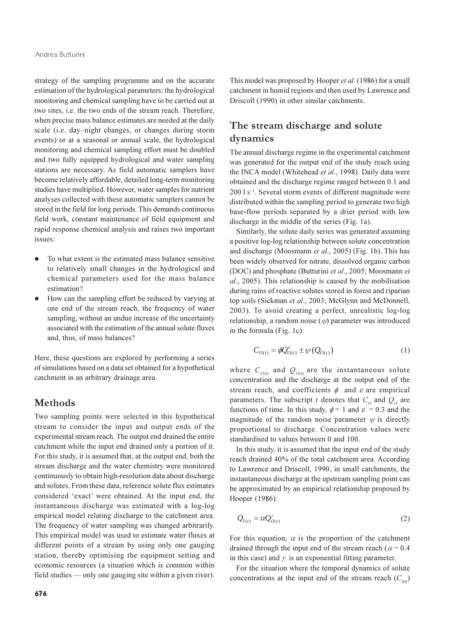strategy of the sampling programme and on the accurate estimation of the hydrological parameters; the hydrological monitoring and chemical sampling have to be carried out at two sites, i.e. the two ends of the stream reach. Therefore, when precise mass balance estimates are needed at the daily scale (*i.e.* day–night changes, or changes during storm events) or at a seasonal or annual scale, the hydrological monitoring and chemical sampling effort must be doubled and two fully equipped hydrological and water sampling stations are necessary. As field automatic samplers have become relatively affordable, detailed long-term monitoring studies have multiplied. However, water samples for nutrient analyses collected with these automatic samplers cannot be stored in the field for long periods. This demands continuous field work, constant maintenance of field equipment and rapid response chemical analysis and raises two important issues:

- To what extent is the estimated mass balance sensitive  $\bullet$ to relatively small changes in the hydrological and chemical parameters used for the mass balance estimation?
- How can the sampling effort be reduced by varying at  $\bullet$ one end of the stream reach, the frequency of water sampling, without an undue increase of the uncertainty associated with the estimation of the annual solute fluxes and, thus, of mass balances?

Here, these questions are explored by performing a series of simulations based on a data set obtained for a hypothetical catchment in an arbitrary drainage area.

#### Methods

Two sampling points were selected in this hypothetical stream to consider the input and output ends of the experimental stream reach. The output end drained the entire catchment while the input end drained only a portion of it. For this study, it is assumed that, at the output end, both the stream discharge and the water chemistry were monitored continuously to obtain high-resolution data about discharge and solutes. From these data, reference solute flux estimates considered 'exact' were obtained. At the input end, the instantaneous discharge was estimated with a log-log empirical model relating discharge to the catchment area. The frequency of water sampling was changed arbitrarily. This empirical model was used to estimate water fluxes at different points of a stream by using only one gauging station, thereby optimising the equipment setting and economic resources (a situation which is common within field studies — only one gauging site within a given river).

This model was proposed by Hooper et al. (1986) for a small catchment in humid regions and then used by Lawrence and Driscoll (1990) in other similar catchments.

# The stream discharge and solute dynamics

The annual discharge regime in the experimental catchment was generated for the output end of the study reach using the INCA model (Whitehead et al., 1998). Daily data were obtained and the discharge regime ranged between 0.1 and 200 l s<sup>-1</sup>. Several storm events of different magnitude were distributed within the sampling period to generate two high base-flow periods separated by a drier period with low discharge in the middle of the series (Fig. 1a).

Similarly, the solute daily series was generated assuming a positive log-log relationship between solute concentration and discharge (Moosmann et al., 2005) (Fig. 1b). This has been widely observed for nitrate, dissolved organic carbon (DOC) and phosphate (Butturini et al., 2005; Moosmann et al., 2005). This relationship is caused by the mobilisation during rains of reactive solutes stored in forest and riparian top soils (Sickman et al., 2003; McGlynn and McDonnell, 2003). To avoid creating a perfect, unrealistic log-log relationship, a random noise  $(\psi)$  parameter was introduced in the formula (Fig. 1c):

$$
C_{O(t)} = \phi Q_{O(t)}^{\varepsilon} \pm \psi(Q_{O(t)})
$$
\n(1)

where  $C_{00}$  and  $Q_{00}$  are the instantaneous solute concentration and the discharge at the output end of the stream reach, and coefficients  $\phi$  and  $\varepsilon$  are empirical parameters. The subscript t denotes that  $C_0$  and  $Q_0$  are functions of time. In this study,  $\phi = 1$  and  $\varepsilon = 0.3$  and the magnitude of the random noise parameter  $\psi$  is directly proportional to discharge. Concentration values were standardised to values between 0 and 100.

In this study, it is assumed that the input end of the study reach drained 40% of the total catchment area. According to Lawrence and Driscoll, 1990, in small catchments, the instantaneous discharge at the upstream sampling point can be approximated by an empirical relationship proposed by Hooper (1986):

$$
Q_{I(t)} = \alpha Q_{O(t)}^{\gamma} \tag{2}
$$

For this equation,  $\alpha$  is the proportion of the catchment drained through the input end of the stream reach ( $\alpha$  = 0.4 in this case) and  $\gamma$  is an exponential fitting parameter.

For the situation where the temporal dynamics of solute concentrations at the input end of the stream reach  $(C_{\mu\nu})$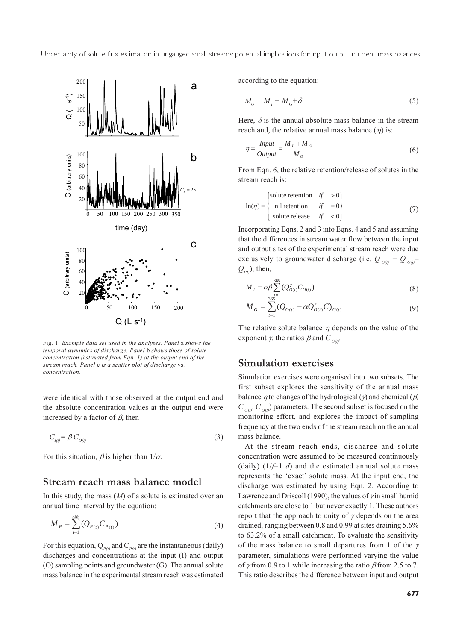

Fig. 1. Example data set used in the analyses. Panel a shows the temporal dynamics of discharge. Panel b shows those of solute concentration (estimated from Eqn. 1) at the output end of the stream reach. Panel c is a scatter plot of discharge vs. concentration.

were identical with those observed at the output end and the absolute concentration values at the output end were increased by a factor of  $\beta$ , then

$$
C_{I(t)} = \beta C_{O(t)} \tag{3}
$$

For this situation,  $\beta$  is higher than  $1/\alpha$ .

## Stream reach mass balance model

In this study, the mass  $(M)$  of a solute is estimated over an annual time interval by the equation:

$$
M_{P} = \sum_{t=1}^{300} (Q_{P(t)} C_{P(t)})
$$
\n(4)

For this equation,  $Q_{p(t)}$  and  $C_{p(t)}$  are the instantaneous (daily) discharges and concentrations at the input (I) and output (O) sampling points and groundwater (G). The annual solute mass balance in the experimental stream reach was estimated according to the equation:

$$
M_{\alpha} = M_{I} + M_{G} + \delta \tag{5}
$$

Here,  $\delta$  is the annual absolute mass balance in the stream reach and, the relative annual mass balance  $(n)$  is:

$$
\eta = \frac{Input}{Output} = \frac{M_I + M_G}{M_O}
$$
\n(6)

From Eqn. 6, the relative retention/release of solutes in the stream reach is:

$$
\ln(\eta) = \begin{cases}\n\text{solute retention} & \text{if } > 0 \\
\text{nil retention} & \text{if } = 0 \\
\text{solute release} & \text{if } < 0\n\end{cases}
$$
\n(7)

Incorporating Eqns. 2 and 3 into Eqns. 4 and 5 and assuming that the differences in stream water flow between the input and output sites of the experimental stream reach were due exclusively to groundwater discharge (i.e.  $Q_{G0} = Q_{O0}$  $Q_{I(t)}$ ), then,

$$
M_{I} = \alpha \beta \sum_{i=1}^{365} (Q_{O(i)}^{\gamma} C_{O(i)})
$$
\n(8)

$$
M_{G} = \sum_{t=1}^{\infty} (Q_{O(t)} - \alpha Q_{O(t)}^{y} C)_{G(t)}
$$
(9)

The relative solute balance  $\eta$  depends on the value of the exponent  $\gamma$ , the ratios  $\beta$  and  $C_{G(\theta)}$ 

## Simulation exercises

Simulation exercises were organised into two subsets. The first subset explores the sensitivity of the annual mass balance  $\eta$  to changes of the hydrological ( $\gamma$ ) and chemical ( $\beta$ ).  $C_{\mathcal{G}(t)}$ ,  $C_{\mathcal{O}(t)}$  parameters. The second subset is focused on the monitoring effort, and explores the impact of sampling frequency at the two ends of the stream reach on the annual mass balance.

At the stream reach ends, discharge and solute concentration were assumed to be measured continuously (daily)  $(1/\sqrt{=}1 \ d)$  and the estimated annual solute mass represents the 'exact' solute mass. At the input end, the discharge was estimated by using Eqn. 2. According to Lawrence and Driscoll (1990), the values of  $\gamma$  in small humid catchments are close to 1 but never exactly 1. These authors report that the approach to unity of  $\gamma$  depends on the area drained, ranging between 0.8 and 0.99 at sites draining 5.6% to 63.2% of a small catchment. To evaluate the sensitivity of the mass balance to small departures from 1 of the  $\gamma$ parameter, simulations were performed varying the value of  $\gamma$  from 0.9 to 1 while increasing the ratio  $\beta$  from 2.5 to 7. This ratio describes the difference between input and output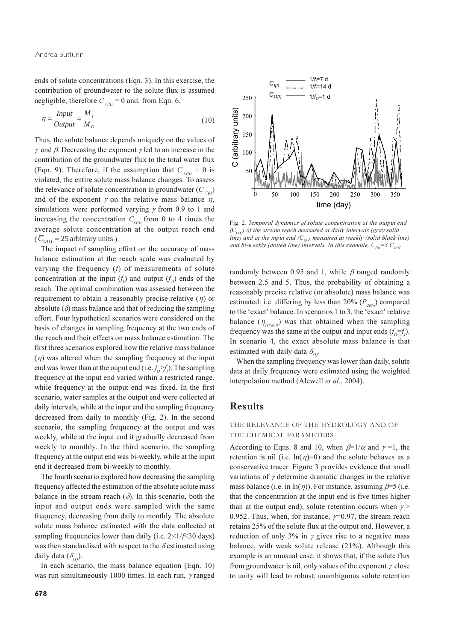ends of solute concentrations (Eqn. 3). In this exercise, the contribution of groundwater to the solute flux is assumed negligible, therefore  $C_{G(t)} = 0$  and, from Eqn. 6,

$$
\eta = \frac{Input}{Output} = \frac{M_I}{M_O}
$$
\n(10)

Thus, the solute balance depends uniquely on the values of  $\gamma$  and  $\beta$ . Decreasing the exponent  $\gamma$  led to an increase in the contribution of the groundwater flux to the total water flux (Eqn. 9). Therefore, if the assumption that  $C_{.60} = 0$  is violated, the entire solute mass balance changes. To assess the relevance of solute concentration in groundwater  $(C_{\text{G0}})$ and of the exponent  $\gamma$  on the relative mass balance  $\eta$ , simulations were performed varying  $\gamma$  from 0.9 to 1 and increasing the concentration  $C_{\text{GCD}}$  from 0 to 4 times the average solute concentration at the output reach end  $(\overline{C}_{O(t)} = 25$  arbitrary units ).

The impact of sampling effort on the accuracy of mass balance estimation at the reach scale was evaluated by varying the frequency  $(f)$  of measurements of solute concentration at the input  $(f_i)$  and output  $(f_o)$  ends of the reach. The optimal combination was assessed between the requirement to obtain a reasonably precise relative  $(\eta)$  or absolute ( $\delta$ ) mass balance and that of reducing the sampling effort. Four hypothetical scenarios were considered on the basis of changes in sampling frequency at the two ends of the reach and their effects on mass balance estimation. The first three scenarios explored how the relative mass balance  $(\eta)$  was altered when the sampling frequency at the input end was lower than at the ouput end (i.e.  $f_0$  >  $f_1$ ). The sampling frequency at the input end varied within a restricted range, while frequency at the output end was fixed. In the first scenario, water samples at the output end were collected at daily intervals, while at the input end the sampling frequency decreased from daily to monthly (Fig. 2). In the second scenario, the sampling frequency at the output end was weekly, while at the input end it gradually decreased from weekly to monthly. In the third scenario, the sampling frequency at the output end was bi-weekly, while at the input end it decreased from bi-weekly to monthly.

The fourth scenario explored how decreasing the sampling frequency affected the estimation of the absolute solute mass balance in the stream reach  $(\delta)$ . In this scenario, both the input and output ends were sampled with the same frequency, decreasing from daily to monthly. The absolute solute mass balance estimated with the data collected at sampling frequencies lower than daily (i.e.  $2 \le 1/\le 30$  days) was then standardised with respect to the  $\delta$  estimated using daily data  $(\delta_{(1)})$ .

In each scenario, the mass balance equation (Eqn. 10) was run simultaneously 1000 times. In each run,  $\gamma$  ranged



Fig. 2. Temporal dynamics of solute concentration at the output end  $(C_{\alpha\alpha})$  of the stream reach measured at daily intervals (gray solid line) and at the input end  $(C_{\text{tot}})$  measured at weekly (solid black line) and bi-weekly (dotted line) intervals. In this example,  $C_{10} = 3 C_{00}$ .

randomly between 0.95 and 1, while  $\beta$  ranged randomly between 2.5 and 5. Thus, the probability of obtaining a reasonably precise relative (or absolute) mass balance was estimated: i.e. differing by less than 20% ( $P_{\text{20\%}}$ ) compared to the 'exact' balance. In scenarios 1 to 3, the 'exact' relative balance  $(\eta_{(exact)})$  was that obtained when the sampling frequency was the same at the output and input ends  $(f<sub>o</sub>=f<sub>i</sub>)$ . In scenario 4, the exact absolute mass balance is that estimated with daily data  $\delta_{\alpha}$ .

When the sampling frequency was lower than daily, solute data at daily frequency were estimated using the weighted interpolation method (Alewell et al., 2004).

## **Results**

#### THE RELEVANCE OF THE HYDROLOGY AND OF THE CHEMICAL PARAMETERS

According to Eqns. 8 and 10, when  $\beta=1/\alpha$  and  $\gamma=1$ , the retention is nil (i.e.  $\ln(\eta)=0$ ) and the solute behaves as a conservative tracer. Figure 3 provides evidence that small variations of  $\gamma$  determine dramatic changes in the relative mass balance (i.e. in  $\ln(\eta)$ ). For instance, assuming  $\beta$ =5 (i.e. that the concentration at the input end is five times higher than at the output end), solute retention occurs when  $\gamma$ 0.952. Thus, when, for instance,  $\gamma=0.97$ , the stream reach retains 25% of the solute flux at the output end. However, a reduction of only 3% in  $\gamma$  gives rise to a negative mass balance, with weak solute release  $(21\%)$ . Although this example is an unusual case, it shows that, if the solute flux from groundwater is nil, only values of the exponent  $\gamma$  close to unity will lead to robust, unambiguous solute retention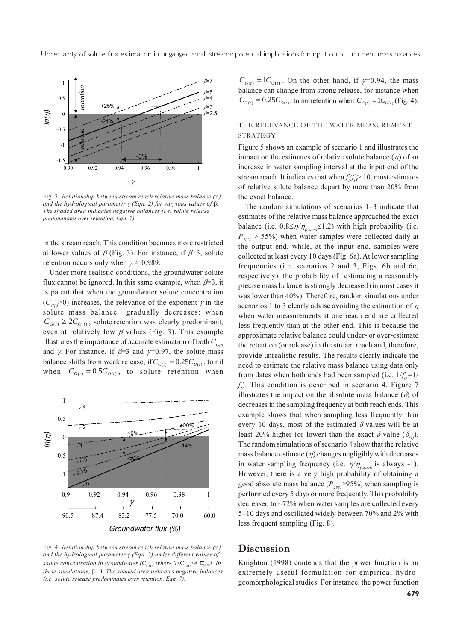

Fig. 3. Relationship between stream reach relative mass balance (n) and the hydrological parameter  $\gamma$  (Eqn. 2) for varyious values of  $\beta$ . The shaded area indicates negative balances (i.e. solute release predominates over retention, Eqn. 7).

in the stream reach. This condition becomes more restricted at lower values of  $\beta$  (Fig. 3). For instance, if  $\beta$ =3, solute retention occurs only when  $\gamma$  > 0.989.

Under more realistic conditions, the groundwater solute flux cannot be ignored. In this same example, when  $\beta=3$ , it is patent that when the groundwater solute concentration  $(C_{\alpha\alpha} > 0)$  increases, the relevance of the exponent  $\gamma$  in the solute mass balance gradually decreases: when  $C_{G(t)} \geq 2\overline{C}_{O(t)}$ , solute retention was clearly predominant, even at relatively low  $\beta$  values (Fig. 3). This example illustrates the importance of accurate estimation of both  $C_{\text{GCD}}$ and  $\gamma$ . For instance, if  $\beta$ =3 and  $\gamma$ =0.97, the solute mass balance shifts from weak release, if  $C_{G(t)} = 0.25\overline{C}_{O(t)}$ , to nil when  $C_{G(t)} = 0.5\overline{C}_{O(t)}$ , to solute retention when



Fig. 4. Relationship between stream reach relative mass balance (n) and the hydrological parameter  $\gamma$  (Eqn. 2) under different values of solute concentration in groundwater ( $C_{G(t)}$ , where,  $0 \leq C_{G(t)} \leq 4 \overline{C}_{O(t)}$ ). In these simulations,  $\beta = 3$ . The shaded area indicates negative balances (i.e. solute release predominates over retention, Eqn. 7).

 $C_{G(t)} = 1\overline{C}_{O(t)}$ . On the other hand, if  $\gamma = 0.94$ , the mass balance can change from strong release, for instance when  $C_{G(t)} = 0.25\overline{C}_{O(t)}$ , to no retention when  $C_{G(t)} = 1\overline{C}_{O(t)}$  (Fig. 4).

#### THE RELEVANCE OF THE WATER MEASUREMENT STRATEGY

Figure 5 shows an example of scenario 1 and illustrates the impact on the estimates of relative solute balance  $(\eta)$  of an increase in water sampling interval at the input end of the stream reach. It indicates that when  $f/f_{0} > 10$ , most estimates of relative solute balance depart by more than 20% from the exact balance.

The random simulations of scenarios  $1-3$  indicate that estimates of the relative mass balance approached the exact balance (i.e.  $0.8 \le \eta/\eta_{\text{(exact)}} \le 1.2$ ) with high probability (i.e.  $P_{\text{20\%}}$  > 55%) when water samples were collected daily at the output end, while, at the input end, samples were collected at least every 10 days (Fig. 6a). At lower sampling frequencies (i.e. scenarios 2 and 3, Figs. 6b and 6c, respectively), the probability of estimating a reasonably precise mass balance is strongly decreased (in most cases it was lower than 40%). Therefore, random simulations under scenarios 1 to 3 clearly advise avoiding the estimation of  $\eta$ when water measurements at one reach end are collected less frequently than at the other end. This is because the approximate relative balance could under- or over-estimate the retention (or release) in the stream reach and, therefore, provide unrealistic results. The results clearly indicate the need to estimate the relative mass balance using data only from dates when both ends had been sampled (i.e.  $1/f<sub>o</sub>=1/$  $f_i$ ). This condition is described in scenario 4. Figure 7 illustrates the impact on the absolute mass balance ( $\delta$ ) of decreases in the sampling frequency at both reach ends. This example shows that when sampling less frequently than every 10 days, most of the estimated  $\delta$  values will be at least 20% higher (or lower) than the exact  $\delta$  value  $(\delta_{\alpha})$ . The random simulations of scenario 4 show that the relative mass balance estimate  $(\eta)$  changes negligibly with decreases in water sampling frequency (i.e.  $\eta/\eta_{\text{(exact)}}$  is always ~1). However, there is a very high probability of obtaining a good absolute mass balance ( $P_{\text{2006}}$ >95%) when sampling is performed every 5 days or more frequently. This probability decreased to  $\sim$ 72% when water samples are collected every 5-10 days and oscillated widely between 70% and 2% with less frequent sampling (Fig. 8).

#### Discussion

Knighton (1998) contends that the power function is an extremely useful formulation for empirical hydrogeomorphological studies. For instance, the power function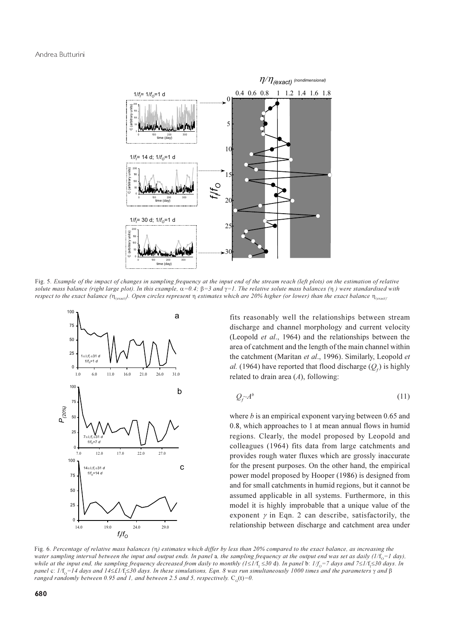

Fig. 5. Example of the impact of changes in sampling frequency at the input end of the stream reach (left plots) on the estimation of relative solute mass balance (right large plot). In this example,  $\alpha$ =0.4;  $\beta$ =3 and  $\gamma$ =1. The relative solute mass balances ( $\eta$ ) were standardised with *respect to the exact balance* ( $n_{\text{(exact)}}$ ). Open circles represent  $n_{\text{}}$  estimates which are 20% higher (or lower) than the exact balance  $n_{\text{(exact)}}$ 



fits reasonably well the relationships between stream discharge and channel morphology and current velocity (Leopold et al., 1964) and the relationships between the area of catchment and the length of the main channel within the catchment (Maritan et al., 1996). Similarly, Leopold et *al.* (1964) have reported that flood discharge  $(Q_f)$  is highly related to drain area  $(A)$ , following:

$$
Q_f A^b \tag{11}
$$

where  $b$  is an empirical exponent varying between 0.65 and 0.8, which approaches to 1 at mean annual flows in humid regions. Clearly, the model proposed by Leopold and colleagues (1964) fits data from large catchments and provides rough water fluxes which are grossly inaccurate for the present purposes. On the other hand, the empirical power model proposed by Hooper (1986) is designed from and for small catchments in humid regions, but it cannot be assumed applicable in all systems. Furthermore, in this model it is highly improbable that a unique value of the exponent  $\gamma$  in Eqn. 2 can describe, satisfactorily, the relationship between discharge and catchment area under

Fig. 6. Percentage of relative mass balances ( $\eta$ ) estimates which differ by less than 20% compared to the exact balance, as increasing the water sampling interval between the input and output ends. In panel a, the sampling frequency at the output end was set as daily (1/f<sub>o</sub>=1 day), while at the input end, the sampling frequency decreased from daily to monthly ( $1 \leq l/f_1 \leq 30$  d). In panel b:  $1/f_0 = 7$  days and  $7 \leq l/f_1 \leq 30$  days. In panel  $\bf{c}: 1/f_{\rm o}\text{=14 days and 14\leq\pounds1/f_{\rm i}\leq30 days.$  In these simulations, Eqn. 8 was run simultaneously 1000 times and the parameters  $\gamma$  and  $\beta$ *ranged randomly between 0.95 and 1, and between 2.5 and 5, respectively.*  $C_{\rm g}(t)$ =0.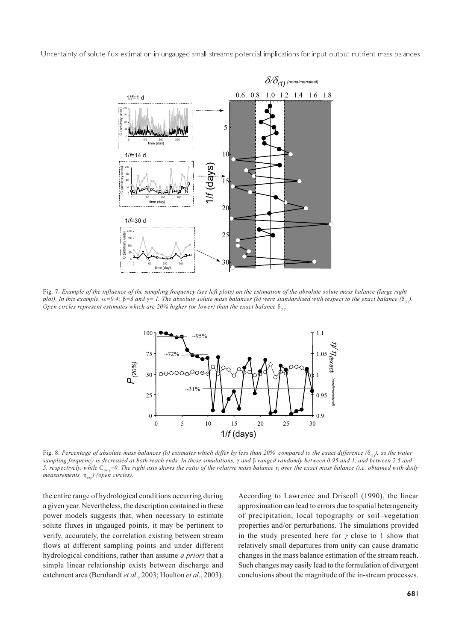

Fig. 7. Example of the influence of the sampling frequency (see left plots) on the estimation of the absolute solute mass balance (large right plot). In this example,  $\alpha=0.4$ ;  $\beta=3$  and  $\gamma=1$ . The absolute solute mass balances ( $\delta$ ) were standardised with respect to the exact balance ( $\delta_{(1)}$ ). Open circles represent estimates which are 20% higher (or lower) than the exact balance  $\delta_{(1)}$ 



Fig. 8. Percentage of absolute mass balances ( $\delta$ ) estimates which differ by less than 20% compared to the exact difference ( $\delta_{(1)}$ ), as the water  $\frac{1}{2}$  *sampling frequency is decreased at both reach ends. In these simulations,*  $\gamma$  *and*  $\beta$  *ranged randomly between 0.95 and 1, and between 2.5 and* 5, respectively, while  $C_{G(t)} = 0$ . The right axis shows the ratio of the relative mass balance  $\eta$  over the exact mass balance (i.e. obtained with daily *measurements*,  $η_{\text{exp}}$  (open circles).

the entire range of hydrological conditions occurring during a given year. Nevertheless, the description contained in these power models suggests that, when necessary to estimate solute fluxes in ungauged points, it may be pertinent to verify, accurately, the correlation existing between stream flows at different sampling points and under different hydrological conditions, rather than assume *a priori* that a simple linear relationship exists between discharge and catchment area (Bernhardt et al., 2003; Houlton et al., 2003). According to Lawrence and Driscoll (1990), the linear approximation can lead to errors due to spatial heterogeneity of precipitation, local topography or soil-vegetation properties and/or perturbations. The simulations provided in the study presented here for  $\gamma$  close to 1 show that relatively small departures from unity can cause dramatic changes in the mass balance estimation of the stream reach. Such changes may easily lead to the formulation of divergent conclusions about the magnitude of the in-stream processes.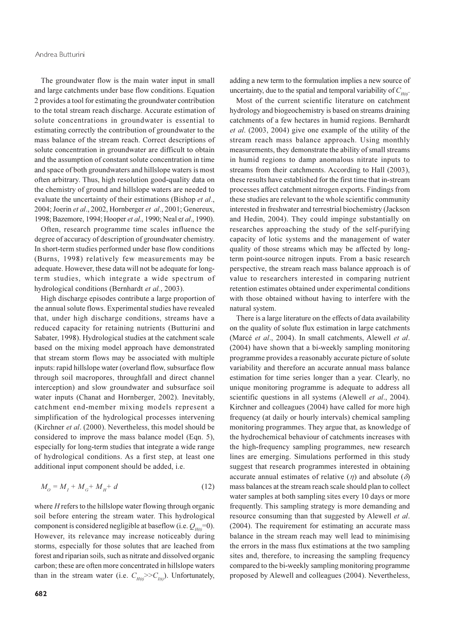The groundwater flow is the main water input in small and large catchments under base flow conditions. Equation 2 provides a tool for estimating the groundwater contribution to the total stream reach discharge. Accurate estimation of solute concentrations in groundwater is essential to estimating correctly the contribution of groundwater to the mass balance of the stream reach. Correct descriptions of solute concentration in groundwater are difficult to obtain and the assumption of constant solute concentration in time and space of both groundwaters and hillslope waters is most often arbitrary. Thus, high resolution good-quality data on the chemistry of ground and hillslope waters are needed to evaluate the uncertainty of their estimations (Bishop et al., 2004; Joerin et al., 2002, Hornberger et al., 2001; Genereux, 1998; Bazemore, 1994; Hooper et al., 1990; Neal et al., 1990).

Often, research programme time scales influence the degree of accuracy of description of groundwater chemistry. In short-term studies performed under base flow conditions (Burns, 1998) relatively few measurements may be adequate. However, these data will not be adequate for longterm studies, which integrate a wide spectrum of hydrological conditions (Bernhardt et al., 2003).

High discharge episodes contribute a large proportion of the annual solute flows. Experimental studies have revealed that, under high discharge conditions, streams have a reduced capacity for retaining nutrients (Butturini and Sabater, 1998). Hydrological studies at the catchment scale based on the mixing model approach have demonstrated that stream storm flows may be associated with multiple inputs: rapid hillslope water (overland flow, subsurface flow through soil macropores, throughfall and direct channel interception) and slow groundwater and subsurface soil water inputs (Chanat and Hornberger, 2002). Inevitably, catchment end-member mixing models represent a simplification of the hydrological processes intervening (Kirchner et al. (2000). Nevertheless, this model should be considered to improve the mass balance model (Eqn. 5), especially for long-term studies that integrate a wide range of hydrological conditions. As a first step, at least one additional input component should be added, i.e.

$$
M_{_O} = M_{_I} + M_{_G} + M_{_H} + d \tag{12}
$$

where *H* refers to the hillslope water flowing through organic soil before entering the stream water. This hydrological component is considered negligible at baseflow (i.e.  $Q_{H0}$ =0). However, its relevance may increase noticeably during storms, especially for those solutes that are leached from forest and riparian soils, such as nitrate and dissolved organic carbon; these are often more concentrated in hillslope waters than in the stream water (i.e.  $C_{H(t)} > C_{H(t)}$ ). Unfortunately,

adding a new term to the formulation implies a new source of uncertainty, due to the spatial and temporal variability of  $C_{H\omega}$ .

Most of the current scientific literature on catchment hydrology and biogeochemistry is based on streams draining catchments of a few hectares in humid regions. Bernhardt *et al.* (2003, 2004) give one example of the utility of the stream reach mass balance approach. Using monthly measurements, they demonstrate the ability of small streams in humid regions to damp anomalous nitrate inputs to streams from their catchments. According to Hall (2003), these results have established for the first time that in-stream processes affect catchment nitrogen exports. Findings from these studies are relevant to the whole scientific community interested in freshwater and terrestrial biochemistry (Jackson and Hedin, 2004). They could impinge substantially on researches approaching the study of the self-purifying capacity of lotic systems and the management of water quality of those streams which may be affected by longterm point-source nitrogen inputs. From a basic research perspective, the stream reach mass balance approach is of value to researchers interested in comparing nutrient retention estimates obtained under experimental conditions with those obtained without having to interfere with the natural system.

There is a large literature on the effects of data availability on the quality of solute flux estimation in large catchments (Marcé et al., 2004). In small catchments, Alewell et al. (2004) have shown that a bi-weekly sampling monitoring programme provides a reasonably accurate picture of solute variability and therefore an accurate annual mass balance estimation for time series longer than a year. Clearly, no unique monitoring programme is adequate to address all scientific questions in all systems (Alewell et al., 2004). Kirchner and colleagues (2004) have called for more high frequency (at daily or hourly intervals) chemical sampling monitoring programmes. They argue that, as knowledge of the hydrochemical behaviour of catchments increases with the high-frequency sampling programmes, new research lines are emerging. Simulations performed in this study suggest that research programmes interested in obtaining accurate annual estimates of relative  $(\eta)$  and absolute  $(\delta)$ mass balances at the stream reach scale should plan to collect water samples at both sampling sites every 10 days or more frequently. This sampling strategy is more demanding and resource consuming than that suggested by Alewell et al. (2004). The requirement for estimating an accurate mass balance in the stream reach may well lead to minimising the errors in the mass flux estimations at the two sampling sites and, therefore, to increasing the sampling frequency compared to the bi-weekly sampling monitoring programme proposed by Alewell and colleagues (2004). Nevertheless,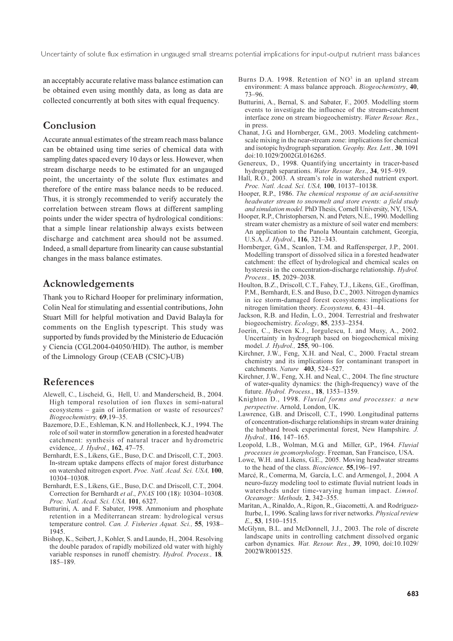an acceptably accurate relative mass balance estimation can be obtained even using monthly data, as long as data are collected concurrently at both sites with equal frequency.

# Conclusion

Accurate annual estimates of the stream reach mass balance can be obtained using time series of chemical data with sampling dates spaced every 10 days or less. However, when stream discharge needs to be estimated for an ungauged point, the uncertainty of the solute flux estimates and therefore of the entire mass balance needs to be reduced. Thus, it is strongly recommended to verify accurately the correlation between stream flows at different sampling points under the wider spectra of hydrological conditions: that a simple linear relationship always exists between discharge and catchment area should not be assumed. Indeed, a small departure from linearity can cause substantial changes in the mass balance estimates.

## Acknowledgements

Thank you to Richard Hooper for preliminary information, Colin Neal for stimulating and essential contributions, John Stuart Mill for helpful motivation and David Balayla for comments on the English typescript. This study was supported by funds provided by the Ministerio de Educación y Ciencia (CGL2004-04050/HID). The author, is member of the Limnology Group (CEAB (CSIC)-UB)

## **References**

- Alewell, C., Lischeid, G., Hell, U. and Manderscheid, B., 2004. High temporal resolution of ion fluxes in semi-natural ecosystems - gain of information or waste of resources? Biogeochemistry, 69,19-35.
- Bazemore, D.E., Eshleman, K.N. and Hollenbeck, K.J., 1994. The role of soil water in stormflow generation in a forested headwater catchment: synthesis of natural tracer and hydrometric evidence, J. Hydrol., 162, 47-75.
- Bernhardt, E.S., Likens, G.E., Buso, D.C. and Driscoll, C.T., 2003. In-stream uptake dampens effects of major forest disturbance on watershed nitrogen export. Proc. Natl. Acad. Sci. USA, 100, 10304-10308.
- Bernhardt, E.S., Likens, G.E., Buso, D.C. and Driscoll, C.T., 2004. Correction for Bernhardt et al., PNAS 100 (18): 10304-10308. Proc. Natl. Acad. Sci. USA, 101, 6327.
- Butturini, A. and F. Sabater, 1998. Ammonium and phosphate retention in a Mediterranean stream: hydrological versus temperature control. Can. J. Fisheries Aquat. Sci., 55, 1938-1945.
- Bishop, K., Seibert, J., Kohler, S. and Laundo, H., 2004. Resolving the double paradox of rapidly mobilized old water with highly variable responses in runoff chemistry. *Hydrol. Process.*, 18,  $185 - 189.$
- Burns D.A. 1998. Retention of NO<sup>3</sup> in an upland stream environment: A mass balance approach. *Biogeochemistry*, 40,  $73 - 96$
- Butturini, A., Bernal, S. and Sabater, F., 2005. Modelling storm events to investigate the influence of the stream-catchment interface zone on stream biogeochemistry. Water Resour. Res., in press.
- Chanat, J.G. and Hornberger, G.M., 2003. Modeling catchmentscale mixing in the near-stream zone: implications for chemical and isotopic hydrograph separation. Geophy. Res. Lett., 30, 1091 doi:10.1029/2002GL016265.
- Genereux, D., 1998. Quantifying uncertainty in tracer-based hydrograph separations. Water Resour. Res., 34, 915-919.
- Hall, R.O., 2003. A stream's role in watershed nutrient export. Proc. Natl. Acad. Sci. USA, 100, 10137-10138.
- Hooper, R.P., 1986. The chemical response of an acid-sensitive headwater stream to snowmelt and store events: a field study and simulation model. PhD Thesis, Cornell University, NY, USA.
- Hooper, R.P., Christophersen, N. and Peters, N.E., 1990. Modelling stream water chemistry as a mixture of soil water end members: An application to the Panola Mountain catchment, Georgia, U.S.A. J. Hydrol., 116, 321-343.
- Hornberger, G.M., Scanlon, T.M. and Raffensperger, J.P., 2001. Modelling transport of dissolved silica in a forested headwater catchment: the effect of hydrological and chemical scales on hysteresis in the concentration-discharge relationship. Hydrol. Process., 15, 2029-2038.
- Houlton, B.Z., Driscoll, C.T., Fahey, T.J., Likens, G.E., Groffman, P.M., Bernhardt, E.S. and Buso, D.C., 2003. Nitrogen dynamics in ice storm-damaged forest ecosystems: implications for nitrogen limitation theory. Ecosystems, 6, 431-44.
- Jackson, R.B. and Hedin, L.O., 2004. Terrestrial and freshwater biogeochemistry. Ecology, 85, 2353-2354.
- Joerin, C., Beven K.J., Iorgulescu, I. and Musy, A., 2002. Uncertainty in hydrograph based on biogeochemical mixing model. J. Hydrol., 255, 90-106.
- Kirchner, J.W., Feng, X.H. and Neal, C., 2000. Fractal stream chemistry and its implications for contaminant transport in catchments. Nature 403, 524-527.
- Kirchner, J.W., Feng, X.H. and Neal, C., 2004. The fine structure of water-quality dynamics: the (high-frequency) wave of the future. Hydrol. Process., 18, 1353-1359.
- Knighton D., 1998. Fluvial forms and processes: a new perspective. Arnold, London, UK.
- Lawrence, G.B. and Driscoll, C.T., 1990. Longitudinal patterns of concentration-discharge relationships in stream water draining the hubbard brook experimental forest, New Hampshire. J. Hydrol., 116, 147-165.
- Leopold, L.B., Wolman, M.G. and Miller, G.P., 1964. Fluvial processes in geomorphology. Freeman, San Francisco, USA.
- Lowe, W.H. and Likens, G.E., 2005. Moving headwater streams to the head of the class. Bioscience, 55,196-197.
- Marcé, R., Comerma, M. García, L.C. and Armengol, J., 2004. A neuro-fuzzy modeling tool to estimate fluvial nutrient loads in watersheds under time-varying human impact. Limnol. Oceanogr.: Methods, 2, 342-355.
- Maritan, A., Rinaldo, A., Rigon, R., Giacometti, A. and Rodríguez-Iturbe, I., 1996. Scaling laws for river networks. Physical review  $E., 53, 1510 - 1515.$
- McGlynn, B.L. and McDonnell, J.J., 2003. The role of discrete landscape units in controlling catchment dissolved organic carbon dynamics. Wat. Resour. Res., 39, 1090, doi:10.1029/ 2002WR001525.